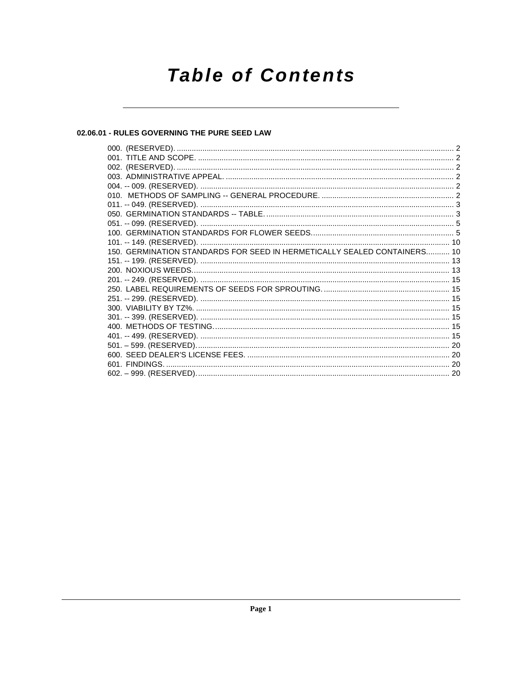# **Table of Contents**

# 02.06.01 - RULES GOVERNING THE PURE SEED LAW

| 150. GERMINATION STANDARDS FOR SEED IN HERMETICALLY SEALED CONTAINERS 10 |  |
|--------------------------------------------------------------------------|--|
|                                                                          |  |
|                                                                          |  |
|                                                                          |  |
|                                                                          |  |
|                                                                          |  |
|                                                                          |  |
|                                                                          |  |
|                                                                          |  |
|                                                                          |  |
|                                                                          |  |
|                                                                          |  |
|                                                                          |  |
|                                                                          |  |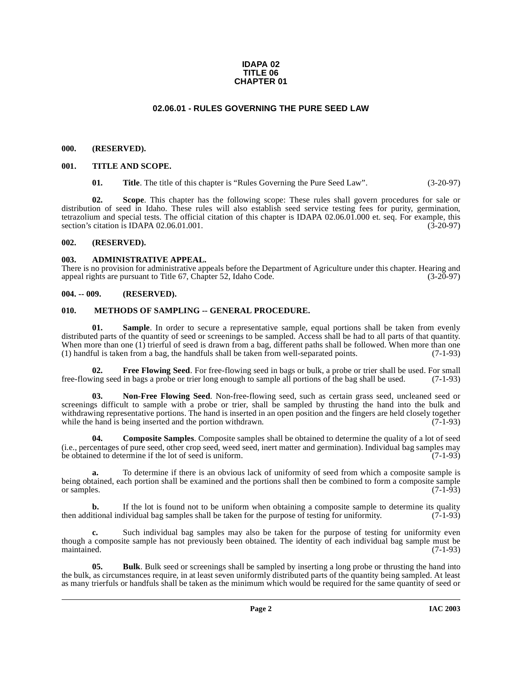### **IDAPA 02 TITLE 06 CHAPTER 01**

# **02.06.01 - RULES GOVERNING THE PURE SEED LAW**

### <span id="page-1-1"></span><span id="page-1-0"></span>**000. (RESERVED).**

### <span id="page-1-2"></span>**001. TITLE AND SCOPE.**

**01.** Title. The title of this chapter is "Rules Governing the Pure Seed Law". (3-20-97)

**02. Scope**. This chapter has the following scope: These rules shall govern procedures for sale or distribution of seed in Idaho. These rules will also establish seed service testing fees for purity, germination, tetrazolium and special tests. The official citation of this chapter is IDAPA 02.06.01.000 et. seq. For example, this section's citation is IDAPA 02.06.01.001. section's citation is IDAPA  $02.06.01.001$ .

### <span id="page-1-3"></span>**002. (RESERVED).**

### <span id="page-1-4"></span>**003. ADMINISTRATIVE APPEAL.**

There is no provision for administrative appeals before the Department of Agriculture under this chapter. Hearing and appeal rights are pursuant to Title 67. Chapter 52. Idaho Code. (3-20-97) appeal rights are pursuant to Title 67, Chapter 52, Idaho Code.

# <span id="page-1-5"></span>**004. -- 009. (RESERVED).**

## <span id="page-1-10"></span><span id="page-1-6"></span>**010. METHODS OF SAMPLING -- GENERAL PROCEDURE.**

<span id="page-1-12"></span>**01.** Sample. In order to secure a representative sample, equal portions shall be taken from evenly distributed parts of the quantity of seed or screenings to be sampled. Access shall be had to all parts of that quantity. When more than one (1) trierful of seed is drawn from a bag, different paths shall be followed. When more than one (1) handful is taken from a bag, the handfuls shall be taken from well-separated points. (7-1-93)

<span id="page-1-9"></span>**02. Free Flowing Seed**. For free-flowing seed in bags or bulk, a probe or trier shall be used. For small ing seed in bags a probe or trier long enough to sample all portions of the bag shall be used. (7-1-93) free-flowing seed in bags a probe or trier long enough to sample all portions of the bag shall be used.

<span id="page-1-11"></span>**03. Non-Free Flowing Seed**. Non-free-flowing seed, such as certain grass seed, uncleaned seed or screenings difficult to sample with a probe or trier, shall be sampled by thrusting the hand into the bulk and withdrawing representative portions. The hand is inserted in an open position and the fingers are held closely together while the hand is being inserted and the portion withdrawn. (7-1-93) while the hand is being inserted and the portion withdrawn.

<span id="page-1-8"></span>**04. Composite Samples**. Composite samples shall be obtained to determine the quality of a lot of seed (i.e., percentages of pure seed, other crop seed, weed seed, inert matter and germination). Individual bag samples may be obtained to determine if the lot of seed is uniform. (7-1-93)

**a.** To determine if there is an obvious lack of uniformity of seed from which a composite sample is being obtained, each portion shall be examined and the portions shall then be combined to form a composite sample or samples.  $(7-1-93)$ 

**b.** If the lot is found not to be uniform when obtaining a composite sample to determine its quality itional individual bag samples shall be taken for the purpose of testing for uniformity. (7-1-93) then additional individual bag samples shall be taken for the purpose of testing for uniformity.

**c.** Such individual bag samples may also be taken for the purpose of testing for uniformity even though a composite sample has not previously been obtained. The identity of each individual bag sample must be maintained. (7-1-93) maintained. (7-1-93)

<span id="page-1-7"></span>**05. Bulk**. Bulk seed or screenings shall be sampled by inserting a long probe or thrusting the hand into the bulk, as circumstances require, in at least seven uniformly distributed parts of the quantity being sampled. At least as many trierfuls or handfuls shall be taken as the minimum which would be required for the same quantity of seed or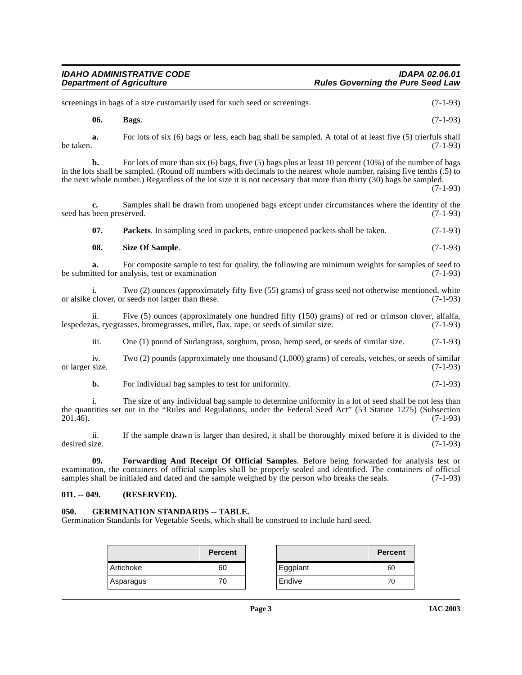| <b>IDAHO ADMINISTRATIVE CODE</b> | <b>IDAPA 02.06.01</b>                    |
|----------------------------------|------------------------------------------|
| <b>Department of Agriculture</b> | <b>Rules Governing the Pure Seed Law</b> |

screenings in bags of a size customarily used for such seed or screenings. (7-1-93)

<span id="page-2-2"></span>**06. Bags**. (7-1-93)

**a.** For lots of six (6) bags or less, each bag shall be sampled. A total of at least five (5) trierfuls shall be taken.  $(7-1-93)$ 

**b.** For lots of more than six (6) bags, five (5) bags plus at least 10 percent (10%) of the number of bags in the lots shall be sampled. (Round off numbers with decimals to the nearest whole number, raising five tenths (.5) to the next whole number.) Regardless of the lot size it is not necessary that more than thirty (30) bags be sampled.

(7-1-93)

**c.** Samples shall be drawn from unopened bags except under circumstances where the identity of the seed has been preserved. (7-1-93)

<span id="page-2-5"></span>**07. Packets**. In sampling seed in packets, entire unopened packets shall be taken. (7-1-93)

<span id="page-2-6"></span>**08.** Size Of Sample. (7-1-93)

**a.** For composite sample to test for quality, the following are minimum weights for samples of seed to itted for analysis, test or examination (7-1-93) be submitted for analysis, test or examination

i. Two (2) ounces (approximately fifty five (55) grams) of grass seed not otherwise mentioned, white clover, or seeds not larger than these. (7-1-93) or alsike clover, or seeds not larger than these.

ii. Five (5) ounces (approximately one hundred fifty (150) grams) of red or crimson clover, alfalfa, as, ryegrasses, bromegrasses, millet, flax, rape, or seeds of similar size. (7-1-93) lespedezas, ryegrasses, bromegrasses, millet, flax, rape, or seeds of similar size.

iii. One (1) pound of Sudangrass, sorghum, proso, hemp seed, or seeds of similar size. (7-1-93)

iv. Two (2) pounds (approximately one thousand (1,000) grams) of cereals, vetches, or seeds of similar size. (7-1-93) or larger size.

**b.** For individual bag samples to test for uniformity. (7-1-93)

i. The size of any individual bag sample to determine uniformity in a lot of seed shall be not less than the quantities set out in the "Rules and Regulations, under the Federal Seed Act" (53 Statute 1275) (Subsection 201.46). 201.46). (7-1-93)

ii. If the sample drawn is larger than desired, it shall be thoroughly mixed before it is divided to the desired size. (7-1-93)

<span id="page-2-3"></span>**09. Forwarding And Receipt Of Official Samples**. Before being forwarded for analysis test or examination, the containers of official samples shall be properly sealed and identified. The containers of official samples shall be initialed and dated and the sample weighed by the person who breaks the seals. (7-1-93) samples shall be initialed and dated and the sample weighed by the person who breaks the seals.

### <span id="page-2-0"></span>**011. -- 049. (RESERVED).**

# <span id="page-2-4"></span><span id="page-2-1"></span>**050. GERMINATION STANDARDS -- TABLE.**

Germination Standards for Vegetable Seeds, which shall be construed to include hard seed.

|                  | Percent |          | <b>Percent</b> |
|------------------|---------|----------|----------------|
| <b>Artichoke</b> | 60      | Eggplant | 60             |
| Asparagus        | 70      | Endive   | 76             |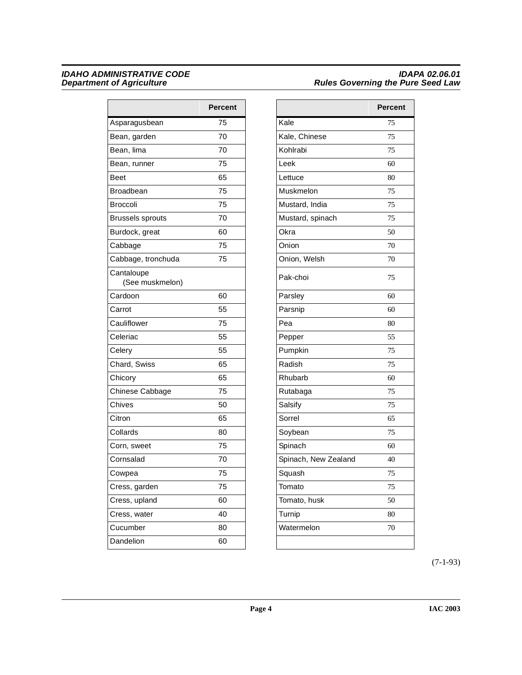|                               | <b>Percent</b> |
|-------------------------------|----------------|
| Asparagusbean                 | 75             |
| Bean, garden                  | 70             |
| Bean, lima                    | 70             |
| Bean, runner                  | 75             |
| <b>Beet</b>                   | 65             |
| <b>Broadbean</b>              | 75             |
| <b>Broccoli</b>               | 75             |
| <b>Brussels sprouts</b>       | 70             |
| Burdock, great                | 60             |
| Cabbage                       | 75             |
| Cabbage, tronchuda            | 75             |
| Cantaloupe<br>(See muskmelon) |                |
| Cardoon                       | 60             |
| Carrot                        | 55             |
| Cauliflower                   | 75             |
| Celeriac                      | 55             |
| Celery                        | 55             |
| Chard, Swiss                  | 65             |
| Chicory                       | 65             |
| Chinese Cabbage               | 75             |
| Chives                        | 50             |
| Citron                        | 65             |
| Collards                      | 80             |
| Corn, sweet                   | 75             |
| Cornsalad                     | 70             |
| Cowpea                        | 75             |
| Cress, garden                 | 75             |
| Cress, upland                 | 60             |
| Cress, water                  | 40             |
| Cucumber                      | 80             |
| Dandelion                     | 60             |
|                               |                |

| Percent |                      | <b>Percent</b> |
|---------|----------------------|----------------|
| 75      | Kale                 | 75             |
| 70      | Kale, Chinese        | 75             |
| 70      | Kohlrabi             | 75             |
| 75      | Leek                 | 60             |
| 65      | Lettuce              | 80             |
| 75      | Muskmelon            | 75             |
| 75      | Mustard, India       | 75             |
| 70      | Mustard, spinach     | 75             |
| 60      | Okra                 | 50             |
| 75      | Onion                | 70             |
| 75      | Onion, Welsh         | 70             |
|         | Pak-choi             | 75             |
| 60      | Parsley              | 60             |
| 55      | Parsnip              | 60             |
| 75      | Pea                  | 80             |
| 55      | Pepper               | 55             |
| 55      | Pumpkin              | 75             |
| 65      | Radish               | 75             |
| 65      | Rhubarb              | 60             |
| 75      | Rutabaga             | 75             |
| 50      | Salsify              | 75             |
| 65      | Sorrel               | 65             |
| 80      | Soybean              | 75             |
| 75      | Spinach              | 60             |
| 70      | Spinach, New Zealand | 40             |
| 75      | Squash               | 75             |
| 75      | Tomato               | 75             |
| 60      | Tomato, husk         | 50             |
| 40      | Turnip               | 80             |
| 80      | Watermelon           | 70             |
| 60      |                      |                |

(7-1-93)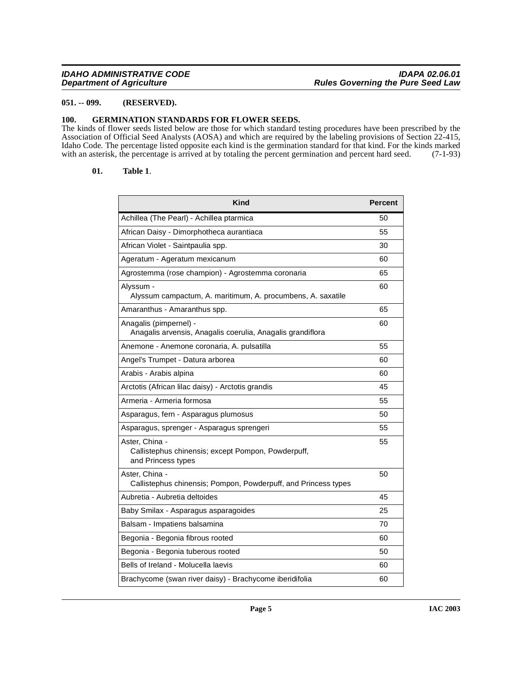# <span id="page-4-0"></span>**051. -- 099. (RESERVED).**

# <span id="page-4-2"></span><span id="page-4-1"></span>**100. GERMINATION STANDARDS FOR FLOWER SEEDS.**

The kinds of flower seeds listed below are those for which standard testing procedures have been prescribed by the Association of Official Seed Analysts (AOSA) and which are required by the labeling provisions of Section 22-415, Idaho Code. The percentage listed opposite each kind is the germination standard for that kind. For the kinds marked with an asterisk, the percentage is arrived at by totaling the percent germination and percent hard seed. (7-1-93)

### <span id="page-4-3"></span>**01. Table 1**.

| Kind                                                                                       | <b>Percent</b> |
|--------------------------------------------------------------------------------------------|----------------|
| Achillea (The Pearl) - Achillea ptarmica                                                   | 50             |
| African Daisy - Dimorphotheca aurantiaca                                                   | 55             |
| African Violet - Saintpaulia spp.                                                          | 30             |
| Ageratum - Ageratum mexicanum                                                              | 60             |
| Agrostemma (rose champion) - Agrostemma coronaria                                          | 65             |
| Alyssum -<br>Alyssum campactum, A. maritimum, A. procumbens, A. saxatile                   | 60             |
| Amaranthus - Amaranthus spp.                                                               | 65             |
| Anagalis (pimpernel) -<br>Anagalis arvensis, Anagalis coerulia, Anagalis grandiflora       | 60             |
| Anemone - Anemone coronaria, A. pulsatilla                                                 | 55             |
| Angel's Trumpet - Datura arborea                                                           | 60             |
| Arabis - Arabis alpina                                                                     | 60             |
| Arctotis (African lilac daisy) - Arctotis grandis                                          | 45             |
| Armeria - Armeria formosa                                                                  | 55             |
| Asparagus, fern - Asparagus plumosus                                                       | 50             |
| Asparagus, sprenger - Asparagus sprengeri                                                  | 55             |
| Aster, China -<br>Callistephus chinensis; except Pompon, Powderpuff,<br>and Princess types | 55             |
| Aster, China -<br>Callistephus chinensis; Pompon, Powderpuff, and Princess types           | 50             |
| Aubretia - Aubretia deltoides                                                              | 45             |
| Baby Smilax - Asparagus asparagoides                                                       | 25             |
| Balsam - Impatiens balsamina                                                               | 70             |
| Begonia - Begonia fibrous rooted                                                           | 60             |
| Begonia - Begonia tuberous rooted                                                          | 50             |
| Bells of Ireland - Molucella laevis                                                        | 60             |
| Brachycome (swan river daisy) - Brachycome iberidifolia                                    | 60             |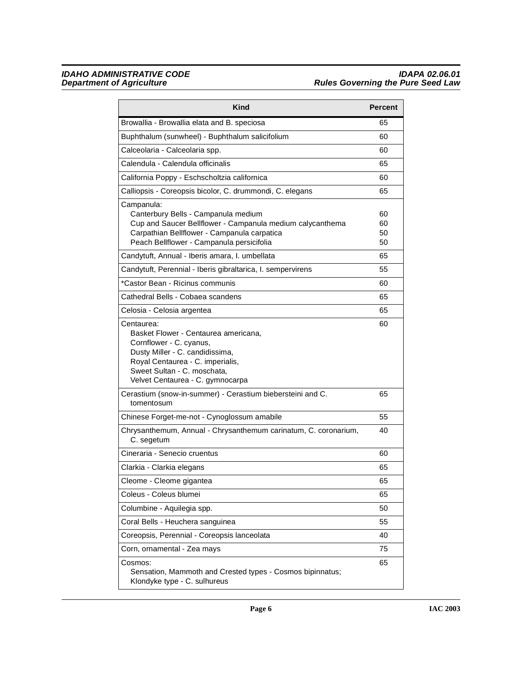| Kind                                                                                                                                                                                                                    | <b>Percent</b>       |
|-------------------------------------------------------------------------------------------------------------------------------------------------------------------------------------------------------------------------|----------------------|
| Browallia - Browallia elata and B. speciosa                                                                                                                                                                             | 65                   |
| Buphthalum (sunwheel) - Buphthalum salicifolium                                                                                                                                                                         | 60                   |
| Calceolaria - Calceolaria spp.                                                                                                                                                                                          | 60                   |
| Calendula - Calendula officinalis                                                                                                                                                                                       | 65                   |
| California Poppy - Eschscholtzia californica                                                                                                                                                                            | 60                   |
| Calliopsis - Coreopsis bicolor, C. drummondi, C. elegans                                                                                                                                                                | 65                   |
| Campanula:<br>Canterbury Bells - Campanula medium<br>Cup and Saucer Bellflower - Campanula medium calycanthema<br>Carpathian Bellflower - Campanula carpatica<br>Peach Bellflower - Campanula persicifolia              | 60<br>60<br>50<br>50 |
| Candytuft, Annual - Iberis amara, I. umbellata                                                                                                                                                                          | 65                   |
| Candytuft, Perennial - Iberis gibraltarica, I. sempervirens                                                                                                                                                             | 55                   |
| *Castor Bean - Ricinus communis                                                                                                                                                                                         | 60                   |
| Cathedral Bells - Cobaea scandens                                                                                                                                                                                       | 65                   |
| Celosia - Celosia argentea                                                                                                                                                                                              | 65                   |
| Centaurea:<br>Basket Flower - Centaurea americana.<br>Cornflower - C. cyanus,<br>Dusty Miller - C. candidissima,<br>Royal Centaurea - C. imperialis,<br>Sweet Sultan - C. moschata,<br>Velvet Centaurea - C. gymnocarpa | 60                   |
| Cerastium (snow-in-summer) - Cerastium biebersteini and C.<br>tomentosum                                                                                                                                                | 65                   |
| Chinese Forget-me-not - Cynoglossum amabile                                                                                                                                                                             | 55                   |
| Chrysanthemum, Annual - Chrysanthemum carinatum, C. coronarium,<br>C. segetum                                                                                                                                           | 40                   |
| Cineraria - Senecio cruentus                                                                                                                                                                                            | 60                   |
| Clarkia - Clarkia elegans                                                                                                                                                                                               | 65                   |
| Cleome - Cleome gigantea                                                                                                                                                                                                | 65                   |
| Coleus - Coleus blumei                                                                                                                                                                                                  | 65                   |
| Columbine - Aquilegia spp.                                                                                                                                                                                              | 50                   |
| Coral Bells - Heuchera sanguinea                                                                                                                                                                                        | 55                   |
| Coreopsis, Perennial - Coreopsis lanceolata                                                                                                                                                                             | 40                   |
| Corn, ornamental - Zea mays                                                                                                                                                                                             | 75                   |
| Cosmos:<br>Sensation, Mammoth and Crested types - Cosmos bipinnatus;<br>Klondyke type - C. sulhureus                                                                                                                    | 65                   |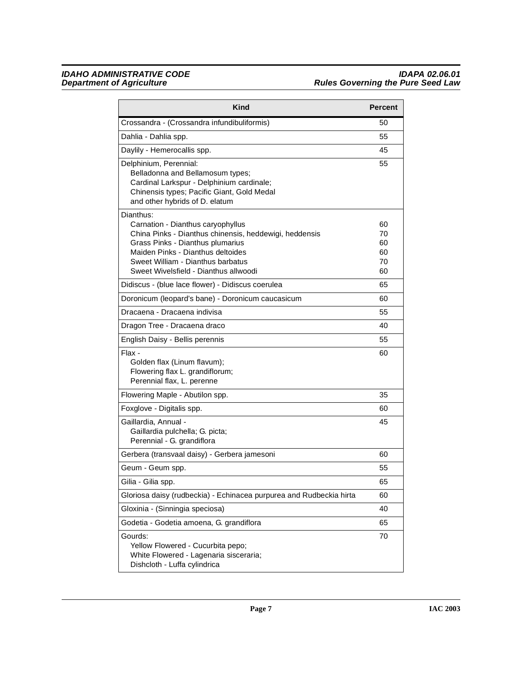| <b>Kind</b>                                                                                                                                                                                                                                                     | <b>Percent</b>                   |
|-----------------------------------------------------------------------------------------------------------------------------------------------------------------------------------------------------------------------------------------------------------------|----------------------------------|
| Crossandra - (Crossandra infundibuliformis)                                                                                                                                                                                                                     | 50                               |
| Dahlia - Dahlia spp.                                                                                                                                                                                                                                            | 55                               |
| Daylily - Hemerocallis spp.                                                                                                                                                                                                                                     | 45                               |
| Delphinium, Perennial:<br>Belladonna and Bellamosum types;<br>Cardinal Larkspur - Delphinium cardinale;<br>Chinensis types; Pacific Giant, Gold Medal<br>and other hybrids of D. elatum                                                                         | 55                               |
| Dianthus:<br>Carnation - Dianthus caryophyllus<br>China Pinks - Dianthus chinensis, heddewigi, heddensis<br>Grass Pinks - Dianthus plumarius<br>Maiden Pinks - Dianthus deltoides<br>Sweet William - Dianthus barbatus<br>Sweet Wivelsfield - Dianthus allwoodi | 60<br>70<br>60<br>60<br>70<br>60 |
| Didiscus - (blue lace flower) - Didiscus coerulea                                                                                                                                                                                                               | 65                               |
| Doronicum (leopard's bane) - Doronicum caucasicum                                                                                                                                                                                                               | 60                               |
| Dracaena - Dracaena indivisa                                                                                                                                                                                                                                    | 55                               |
| Dragon Tree - Dracaena draco                                                                                                                                                                                                                                    | 40                               |
| English Daisy - Bellis perennis                                                                                                                                                                                                                                 | 55                               |
| Flax -<br>Golden flax (Linum flavum);<br>Flowering flax L. grandiflorum;<br>Perennial flax, L. perenne                                                                                                                                                          | 60                               |
| Flowering Maple - Abutilon spp.                                                                                                                                                                                                                                 | 35                               |
| Foxglove - Digitalis spp.                                                                                                                                                                                                                                       | 60                               |
| Gaillardia, Annual -<br>Gaillardia pulchella; G. picta;<br>Perennial - G. grandiflora                                                                                                                                                                           | 45                               |
| Gerbera (transvaal daisy) - Gerbera jamesoni                                                                                                                                                                                                                    | 60                               |
| Geum - Geum spp.                                                                                                                                                                                                                                                | 55                               |
| Gilia - Gilia spp.                                                                                                                                                                                                                                              | 65                               |
| Gloriosa daisy (rudbeckia) - Echinacea purpurea and Rudbeckia hirta                                                                                                                                                                                             | 60                               |
| Gloxinia - (Sinningia speciosa)                                                                                                                                                                                                                                 | 40                               |
| Godetia - Godetia amoena, G. grandiflora                                                                                                                                                                                                                        | 65                               |
| Gourds:<br>Yellow Flowered - Cucurbita pepo;<br>White Flowered - Lagenaria sisceraria;<br>Dishcloth - Luffa cylindrica                                                                                                                                          | 70                               |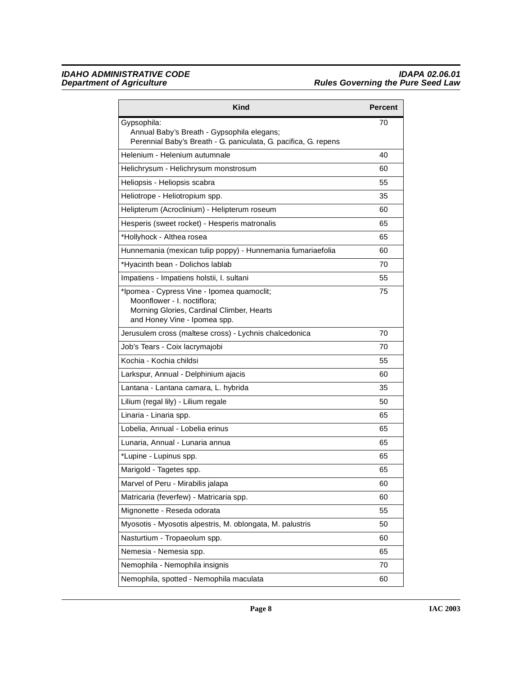| Kind                                                                                                                                                   | <b>Percent</b> |
|--------------------------------------------------------------------------------------------------------------------------------------------------------|----------------|
| Gypsophila:<br>Annual Baby's Breath - Gypsophila elegans;<br>Perennial Baby's Breath - G. paniculata, G. pacifica, G. repens                           | 70             |
| Helenium - Helenium autumnale                                                                                                                          | 40             |
| Helichrysum - Helichrysum monstrosum                                                                                                                   | 60             |
| Heliopsis - Heliopsis scabra                                                                                                                           | 55             |
| Heliotrope - Heliotropium spp.                                                                                                                         | 35             |
| Helipterum (Acroclinium) - Helipterum roseum                                                                                                           | 60             |
| Hesperis (sweet rocket) - Hesperis matronalis                                                                                                          | 65             |
| *Hollyhock - Althea rosea                                                                                                                              | 65             |
| Hunnemania (mexican tulip poppy) - Hunnemania fumariaefolia                                                                                            | 60             |
| *Hyacinth bean - Dolichos lablab                                                                                                                       | 70             |
| Impatiens - Impatiens holstii, I. sultani                                                                                                              | 55             |
| *Ipomea - Cypress Vine - Ipomea quamoclit;<br>Moonflower - I. noctiflora:<br>Morning Glories, Cardinal Climber, Hearts<br>and Honey Vine - Ipomea spp. | 75             |
| Jerusulem cross (maltese cross) - Lychnis chalcedonica                                                                                                 | 70             |
| Job's Tears - Coix lacrymajobi                                                                                                                         | 70             |
| Kochia - Kochia childsi                                                                                                                                | 55             |
| Larkspur, Annual - Delphinium ajacis                                                                                                                   | 60             |
| Lantana - Lantana camara, L. hybrida                                                                                                                   | 35             |
| Lilium (regal lily) - Lilium regale                                                                                                                    | 50             |
| Linaria - Linaria spp.                                                                                                                                 | 65             |
| Lobelia, Annual - Lobelia erinus                                                                                                                       | 65             |
| Lunaria, Annual - Lunaria annua                                                                                                                        | 65             |
| *Lupine - Lupinus spp.                                                                                                                                 | 65             |
| Marigold - Tagetes spp.                                                                                                                                | 65             |
| Marvel of Peru - Mirabilis jalapa                                                                                                                      | 60             |
| Matricaria (feverfew) - Matricaria spp.                                                                                                                | 60             |
| Mignonette - Reseda odorata                                                                                                                            | 55             |
| Myosotis - Myosotis alpestris, M. oblongata, M. palustris                                                                                              | 50             |
| Nasturtium - Tropaeolum spp.                                                                                                                           | 60             |
| Nemesia - Nemesia spp.                                                                                                                                 | 65             |
| Nemophila - Nemophila insignis                                                                                                                         | 70             |
| Nemophila, spotted - Nemophila maculata                                                                                                                | 60             |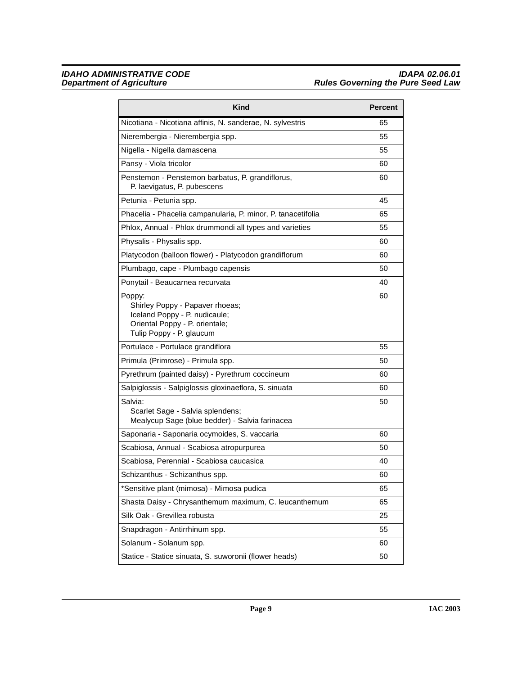| <b>Kind</b>                                                                                                                              | Percent |
|------------------------------------------------------------------------------------------------------------------------------------------|---------|
| Nicotiana - Nicotiana affinis, N. sanderae, N. sylvestris                                                                                | 65      |
| Nierembergia - Nierembergia spp.                                                                                                         | 55      |
| Nigella - Nigella damascena                                                                                                              | 55      |
| Pansy - Viola tricolor                                                                                                                   | 60      |
| Penstemon - Penstemon barbatus, P. grandiflorus,<br>P. laevigatus, P. pubescens                                                          | 60      |
| Petunia - Petunia spp.                                                                                                                   | 45      |
| Phacelia - Phacelia campanularia, P. minor, P. tanacetifolia                                                                             | 65      |
| Phlox, Annual - Phlox drummondi all types and varieties                                                                                  | 55      |
| Physalis - Physalis spp.                                                                                                                 | 60      |
| Platycodon (balloon flower) - Platycodon grandiflorum                                                                                    | 60      |
| Plumbago, cape - Plumbago capensis                                                                                                       | 50      |
| Ponytail - Beaucarnea recurvata                                                                                                          | 40      |
| Poppy:<br>Shirley Poppy - Papaver rhoeas;<br>Iceland Poppy - P. nudicaule;<br>Oriental Poppy - P. orientale;<br>Tulip Poppy - P. glaucum | 60      |
| Portulace - Portulace grandiflora                                                                                                        | 55      |
| Primula (Primrose) - Primula spp.                                                                                                        | 50      |
| Pyrethrum (painted daisy) - Pyrethrum coccineum                                                                                          | 60      |
| Salpiglossis - Salpiglossis gloxinaeflora, S. sinuata                                                                                    | 60      |
| Salvia:<br>Scarlet Sage - Salvia splendens;<br>Mealycup Sage (blue bedder) - Salvia farinacea                                            | 50      |
| Saponaria - Saponaria ocymoides, S. vaccaria                                                                                             | 60      |
| Scabiosa, Annual - Scabiosa atropurpurea                                                                                                 | 50      |
| Scabiosa, Perennial - Scabiosa caucasica                                                                                                 | 40      |
| Schizanthus - Schizanthus spp.                                                                                                           | 60      |
| *Sensitive plant (mimosa) - Mimosa pudica                                                                                                | 65      |
| Shasta Daisy - Chrysanthemum maximum, C. leucanthemum                                                                                    | 65      |
| Silk Oak - Grevillea robusta                                                                                                             | 25      |
| Snapdragon - Antirrhinum spp.                                                                                                            | 55      |
| Solanum - Solanum spp.                                                                                                                   | 60      |
| Statice - Statice sinuata, S. suworonii (flower heads)                                                                                   | 50      |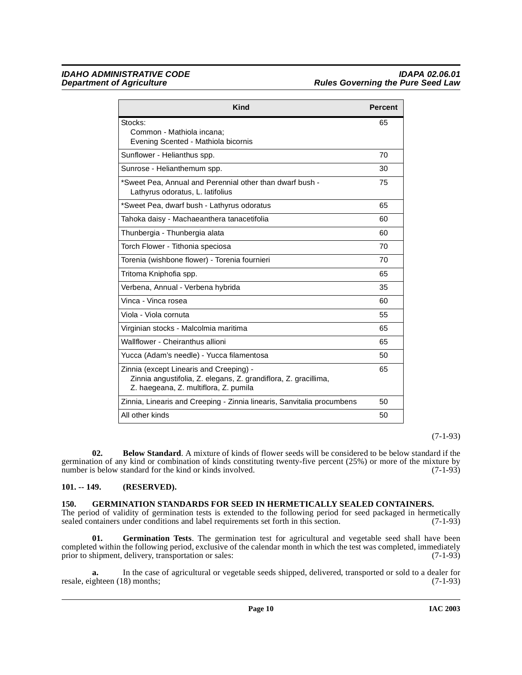| <b>Kind</b>                                                                                                                                         | <b>Percent</b> |
|-----------------------------------------------------------------------------------------------------------------------------------------------------|----------------|
| Stocks:                                                                                                                                             | 65             |
| Common - Mathiola incana:<br>Evening Scented - Mathiola bicornis                                                                                    |                |
| Sunflower - Helianthus spp.                                                                                                                         | 70             |
| Sunrose - Helianthemum spp.                                                                                                                         | 30             |
| *Sweet Pea, Annual and Perennial other than dwarf bush -<br>Lathyrus odoratus, L. latifolius                                                        | 75             |
| *Sweet Pea, dwarf bush - Lathyrus odoratus                                                                                                          | 65             |
| Tahoka daisy - Machaeanthera tanacetifolia                                                                                                          | 60             |
| Thunbergia - Thunbergia alata                                                                                                                       | 60             |
| Torch Flower - Tithonia speciosa                                                                                                                    | 70             |
| Torenia (wishbone flower) - Torenia fournieri                                                                                                       | 70             |
| Tritoma Kniphofia spp.                                                                                                                              | 65             |
| Verbena, Annual - Verbena hybrida                                                                                                                   | 35             |
| Vinca - Vinca rosea                                                                                                                                 | 60             |
| Viola - Viola cornuta                                                                                                                               | 55             |
| Virginian stocks - Malcolmia maritima                                                                                                               | 65             |
| Wallflower - Cheiranthus allioni                                                                                                                    | 65             |
| Yucca (Adam's needle) - Yucca filamentosa                                                                                                           | 50             |
| Zinnia (except Linearis and Creeping) -<br>Zinnia angustifolia, Z. elegans, Z. grandiflora, Z. gracillima,<br>Z. haegeana, Z. multiflora, Z. pumila | 65             |
| Zinnia, Linearis and Creeping - Zinnia linearis, Sanvitalia procumbens                                                                              | 50             |
| All other kinds                                                                                                                                     | 50             |

# (7-1-93)

<span id="page-9-2"></span>**02. Below Standard**. A mixture of kinds of flower seeds will be considered to be below standard if the germination of any kind or combination of kinds constituting twenty-five percent (25%) or more of the mixture by number is below standard for the kind or kinds involved. (7-1-93) number is below standard for the kind or kinds involved.

# <span id="page-9-0"></span>**101. -- 149. (RESERVED).**

# <span id="page-9-3"></span><span id="page-9-1"></span>**150. GERMINATION STANDARDS FOR SEED IN HERMETICALLY SEALED CONTAINERS.**

The period of validity of germination tests is extended to the following period for seed packaged in hermetically sealed containers under conditions and label requirements set forth in this section. (7-1-93) sealed containers under conditions and label requirements set forth in this section.

<span id="page-9-4"></span>**01. Germination Tests**. The germination test for agricultural and vegetable seed shall have been completed within the following period, exclusive of the calendar month in which the test was completed, immediately prior to shipment, delivery, transportation or sales: (7-1-93)

**a.** In the case of agricultural or vegetable seeds shipped, delivered, transported or sold to a dealer for ghteen (18) months: (7-1-93) resale, eighteen (18) months;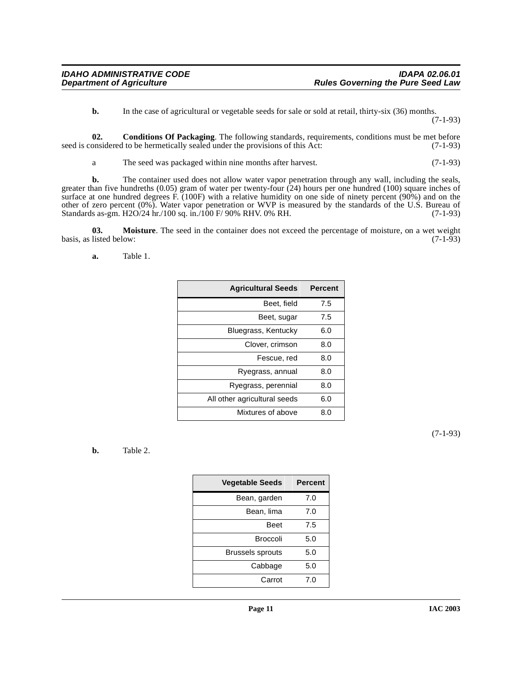<span id="page-10-0"></span>**b.** In the case of agricultural or vegetable seeds for sale or sold at retail, thirty-six (36) months.

(7-1-93)

**02. Conditions Of Packaging**. The following standards, requirements, conditions must be met before seed is considered to be hermetically sealed under the provisions of this Act: (7-1-93)

a The seed was packaged within nine months after harvest. (7-1-93)

**b.** The container used does not allow water vapor penetration through any wall, including the seals, greater than five hundreths (0.05) gram of water per twenty-four (24) hours per one hundred (100) square inches of surface at one hundred degrees F. (100F) with a relative humidity on one side of ninety percent (90%) and on the other of zero percent (0%). Water vapor penetration or WVP is measured by the standards of the U.S. Bureau of Standards as-gm. H2O/24 hr./100 sq. in./100 F/ 90% RHV. 0% RH. (7-1-93)

**03.** Moisture. The seed in the container does not exceed the percentage of moisture, on a wet weight listed below: (7-1-93) basis, as listed below:

<span id="page-10-2"></span><span id="page-10-1"></span>**a.** Table 1.

| <b>Agricultural Seeds</b>    | <b>Percent</b> |
|------------------------------|----------------|
| Beet, field                  | 7.5            |
| Beet, sugar                  | 7.5            |
| Bluegrass, Kentucky          | 6.0            |
| Clover, crimson              | 8.0            |
| Fescue, red                  | 8.0            |
| Ryegrass, annual             | 8.0            |
| Ryegrass, perennial          | 8.0            |
| All other agricultural seeds | 6.0            |
| Mixtures of above            | 8.0            |

(7-1-93)

<span id="page-10-3"></span>**b.** Table 2.

| <b>Vegetable Seeds</b>  | <b>Percent</b> |
|-------------------------|----------------|
| Bean, garden            | 7.0            |
| Bean, lima              | 7.0            |
| Beet                    | 7.5            |
| Broccoli                | 5.0            |
| <b>Brussels sprouts</b> | 5.0            |
| Cabbage                 | 5.0            |
| Carrot                  | 7.0            |
|                         |                |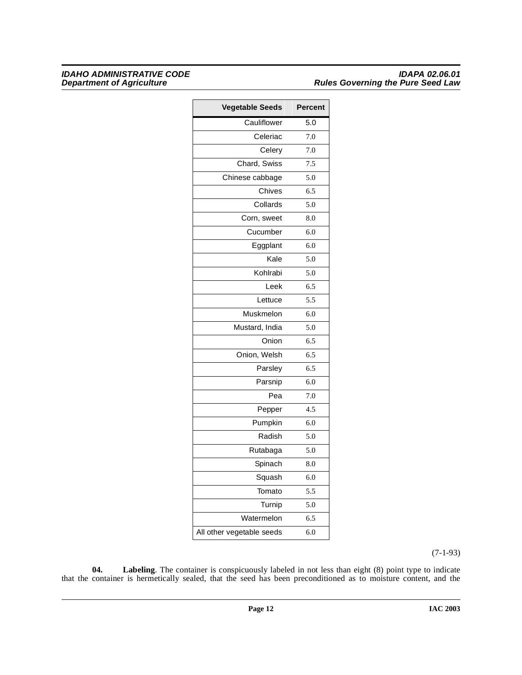| <b>Vegetable Seeds</b>    | Percent |
|---------------------------|---------|
| Cauliflower               | 5.0     |
| Celeriac                  | 7.0     |
| Celery                    | 7.0     |
| Chard, Swiss              | 7.5     |
| Chinese cabbage           | 5.0     |
| Chives                    | 6.5     |
| Collards                  | 5.0     |
| Corn, sweet               | 8.0     |
| Cucumber                  | 6.0     |
| Eggplant                  | 6.0     |
| Kale                      | 5.0     |
| Kohlrabi                  | 5.0     |
| Leek                      | 6.5     |
| Lettuce                   | 5.5     |
| Muskmelon                 | 6.0     |
| Mustard, India            | 5.0     |
| Onion                     | 6.5     |
| Onion, Welsh              | 6.5     |
| Parsley                   | 6.5     |
| _<br>Parsnip              | 6.0     |
| Pea                       | 7.0     |
| Pepper                    | 4.5     |
| –<br>Pumpkin              | 6.0     |
| Radish                    | 5.0     |
| Rutabaga                  | 5.0     |
| Spinach                   | 8.0     |
| Squash                    | 6.0     |
| Tomato                    | 5.5     |
| Turnip                    | 5.0     |
| Watermelon                | 6.5     |
| All other vegetable seeds | 6.0     |

(7-1-93)

<span id="page-11-0"></span>**04. Labeling**. The container is conspicuously labeled in not less than eight (8) point type to indicate that the container is hermetically sealed, that the seed has been preconditioned as to moisture content, and the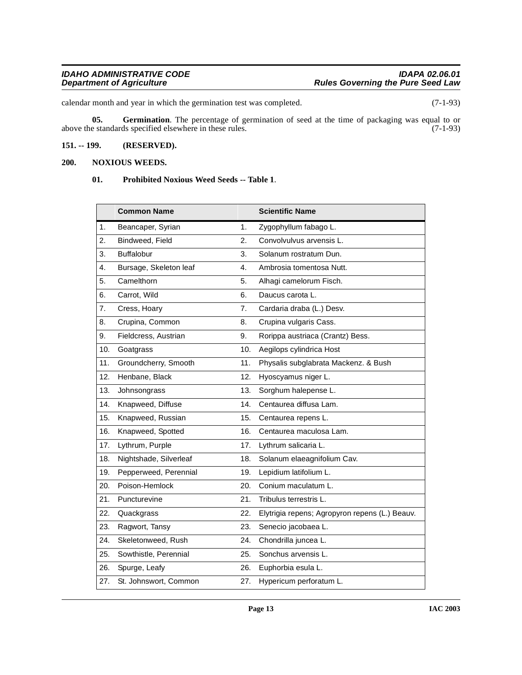calendar month and year in which the germination test was completed. (7-1-93)

<span id="page-12-2"></span>**05.** Germination. The percentage of germination of seed at the time of packaging was equal to or e standards specified elsewhere in these rules. (7-1-93) above the standards specified elsewhere in these rules.

# <span id="page-12-0"></span>**151. -- 199. (RESERVED).**

# <span id="page-12-1"></span>**200. NOXIOUS WEEDS.**

### <span id="page-12-4"></span><span id="page-12-3"></span>**01. Prohibited Noxious Weed Seeds -- Table 1**.

|     | Common Name            |     | <b>Scientific Name</b>                         |
|-----|------------------------|-----|------------------------------------------------|
| 1.  | Beancaper, Syrian      | 1.  | Zygophyllum fabago L.                          |
| 2.  | Bindweed, Field        | 2.  | Convolvulvus arvensis L.                       |
| 3.  | <b>Buffalobur</b>      | 3.  | Solanum rostratum Dun.                         |
| 4.  | Bursage, Skeleton leaf | 4.  | Ambrosia tomentosa Nutt.                       |
| 5.  | Camelthorn             | 5.  | Alhagi camelorum Fisch.                        |
| 6.  | Carrot, Wild           | 6.  | Daucus carota L.                               |
| 7.  | Cress, Hoary           | 7.  | Cardaria draba (L.) Desv.                      |
| 8.  | Crupina, Common        | 8.  | Crupina vulgaris Cass.                         |
| 9.  | Fieldcress, Austrian   | 9.  | Rorippa austriaca (Crantz) Bess.               |
| 10. | Goatgrass              | 10. | Aegilops cylindrica Host                       |
| 11. | Groundcherry, Smooth   | 11. | Physalis subglabrata Mackenz. & Bush           |
| 12. | Henbane, Black         | 12. | Hyoscyamus niger L.                            |
| 13. | Johnsongrass           | 13. | Sorghum halepense L.                           |
| 14. | Knapweed, Diffuse      | 14. | Centaurea diffusa Lam.                         |
| 15. | Knapweed, Russian      | 15. | Centaurea repens L.                            |
| 16. | Knapweed, Spotted      | 16. | Centaurea maculosa Lam.                        |
| 17. | Lythrum, Purple        | 17. | Lythrum salicaria L.                           |
| 18. | Nightshade, Silverleaf | 18. | Solanum elaeagnifolium Cav.                    |
| 19. | Pepperweed, Perennial  | 19. | Lepidium latifolium L.                         |
| 20. | Poison-Hemlock         | 20. | Conium maculatum L.                            |
| 21. | Puncturevine           | 21. | Tribulus terrestris L.                         |
| 22. | Quackgrass             | 22. | Elytrigia repens; Agropyron repens (L.) Beauv. |
| 23. | Ragwort, Tansy         | 23. | Senecio jacobaea L.                            |
| 24. | Skeletonweed, Rush     | 24. | Chondrilla juncea L.                           |
| 25. | Sowthistle, Perennial  | 25. | Sonchus arvensis L.                            |
| 26. | Spurge, Leafy          | 26. | Euphorbia esula L.                             |
| 27. | St. Johnswort, Common  | 27. | Hypericum perforatum L.                        |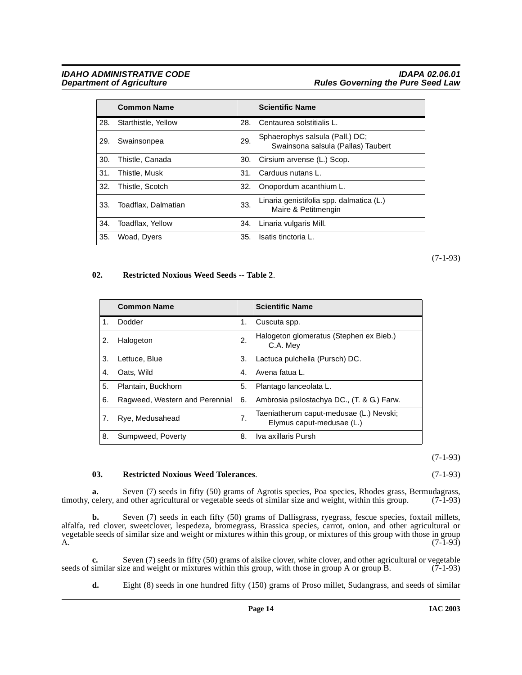# **IDAHO ADMINISTRATIVE CODE**<br>Department of Agriculture in the Seed Law Rules Governing the Pure Seed Law **Rules Governing the Pure Seed Law**

|     | <b>Common Name</b>  |     | <b>Scientific Name</b>                                                |
|-----|---------------------|-----|-----------------------------------------------------------------------|
| 28. | Starthistle, Yellow | 28. | Centaurea solstitialis L.                                             |
| 29. | Swainsonpea         | 29. | Sphaerophys salsula (Pall.) DC;<br>Swainsona salsula (Pallas) Taubert |
| 30. | Thistle, Canada     | 30. | Cirsium arvense (L.) Scop.                                            |
| 31. | Thistle, Musk       | 31. | Carduus nutans L.                                                     |
| 32. | Thistle, Scotch     | 32. | Onopordum acanthium L.                                                |
| 33. | Toadflax, Dalmatian | 33. | Linaria genistifolia spp. dalmatica (L.)<br>Maire & Petitmengin       |
| 34. | Toadflax, Yellow    | 34. | Linaria vulgaris Mill.                                                |
| 35. | Woad, Dyers         | 35. | Isatis tinctoria L.                                                   |

(7-1-93)

# <span id="page-13-0"></span>**02. Restricted Noxious Weed Seeds -- Table 2**.

|    | <b>Common Name</b>             |    | <b>Scientific Name</b>                                               |
|----|--------------------------------|----|----------------------------------------------------------------------|
| 1. | Dodder                         | 1. | Cuscuta spp.                                                         |
| 2. | Halogeton                      | 2. | Halogeton glomeratus (Stephen ex Bieb.)<br>C.A. Mey                  |
| 3. | Lettuce, Blue                  | 3. | Lactuca pulchella (Pursch) DC.                                       |
| 4. | Oats, Wild                     | 4. | Avena fatua L.                                                       |
| 5. | Plantain, Buckhorn             | 5. | Plantago lanceolata L.                                               |
| 6. | Ragweed, Western and Perennial | 6. | Ambrosia psilostachya DC., (T. & G.) Farw.                           |
| 7. | Rye, Medusahead                | 7. | Taeniatherum caput-medusae (L.) Nevski;<br>Elymus caput-medusae (L.) |
| 8. | Sumpweed, Poverty              | 8. | Iva axillaris Pursh                                                  |

(7-1-93)

### <span id="page-13-1"></span>**03. Restricted Noxious Weed Tolerances**. (7-1-93)

**a.** Seven (7) seeds in fifty (50) grams of Agrotis species, Poa species, Rhodes grass, Bermudagrass, celery, and other agricultural or vegetable seeds of similar size and weight, within this group. (7-1-93) timothy, celery, and other agricultural or vegetable seeds of similar size and weight, within this group.

**b.** Seven (7) seeds in each fifty (50) grams of Dallisgrass, ryegrass, fescue species, foxtail millets, alfalfa, red clover, sweetclover, lespedeza, bromegrass, Brassica species, carrot, onion, and other agricultural or vegetable seeds of similar size and weight or mixtures within this group, or mixtures of this group with those in group A.  $(7-1-93)$ 

**c.** Seven (7) seeds in fifty (50) grams of alsike clover, white clover, and other agricultural or vegetable similar size and weight or mixtures within this group, with those in group A or group B. (7-1-93) seeds of similar size and weight or mixtures within this group, with those in group A or group B.

**d.** Eight (8) seeds in one hundred fifty (150) grams of Proso millet, Sudangrass, and seeds of similar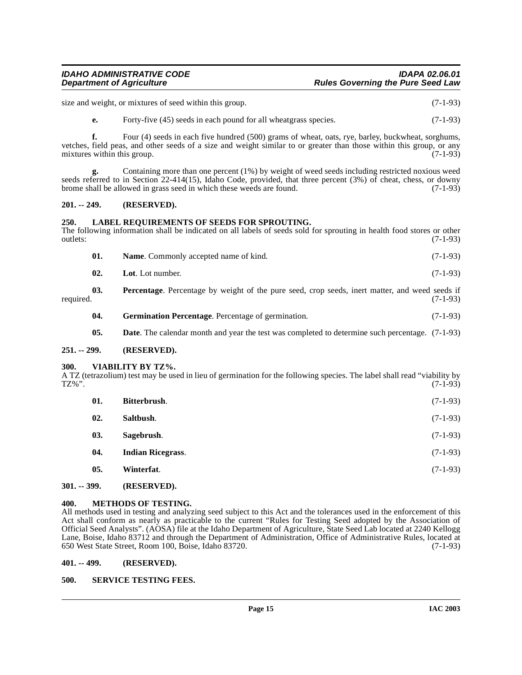# **IDAHO ADMINISTRATIVE CODE IDAPA 02.06.01 Rules Governing the Pure Seed Law**

size and weight, or mixtures of seed within this group. (7-1-93)

**e.** Forty-five (45) seeds in each pound for all wheatgrass species. (7-1-93)

**f.** Four (4) seeds in each five hundred (500) grams of wheat, oats, rye, barley, buckwheat, sorghums, vetches, field peas, and other seeds of a size and weight similar to or greater than those within this group, or any mixtures within this group. (7-1-93) mixtures within this group.

**g.** Containing more than one percent (1%) by weight of weed seeds including restricted noxious weed seeds referred to in Section 22-414(15), Idaho Code, provided, that three percent (3%) of cheat, chess, or downy brome shall be allowed in grass seed in which these weeds are found. (7-1-93)

# <span id="page-14-0"></span>**201. -- 249. (RESERVED).**

# <span id="page-14-10"></span><span id="page-14-1"></span>**250. LABEL REQUIREMENTS OF SEEDS FOR SPROUTING.**

The following information shall be indicated on all labels of seeds sold for sprouting in health food stores or other outlets: (7-1-93) outlets: (7-1-93)

| 01.              | <b>Name.</b> Commonly accepted name of kind.                                                          | $(7-1-93)$ |
|------------------|-------------------------------------------------------------------------------------------------------|------------|
| 02.              | Lot. Lot number.                                                                                      | $(7-1-93)$ |
| 03.<br>required. | <b>Percentage.</b> Percentage by weight of the pure seed, crop seeds, inert matter, and weed seeds if | $(7-1-93)$ |

<span id="page-14-12"></span><span id="page-14-8"></span>**04.** Germination Percentage. Percentage of germination. (7-1-93)

<span id="page-14-16"></span>**05. Date**. The calendar month and year the test was completed to determine such percentage. (7-1-93)

# <span id="page-14-2"></span>**251. -- 299. (RESERVED).**

### <span id="page-14-3"></span>**300. VIABILITY BY TZ%.**

A TZ (tetrazolium) test may be used in lieu of germination for the following species. The label shall read "viability by TZ%".  $TZ\%$ ". (7-1-93)

<span id="page-14-14"></span><span id="page-14-13"></span><span id="page-14-9"></span><span id="page-14-7"></span>

| 01.           | Bitterbrush.             | $(7-1-93)$ |
|---------------|--------------------------|------------|
| 02.           | Saltbush.                | $(7-1-93)$ |
| 03.           | Sagebrush.               | $(7-1-93)$ |
| 04.           | <b>Indian Ricegrass.</b> | $(7-1-93)$ |
| 05.           | Winterfat.               | $(7-1-93)$ |
| $301. - 399.$ | (RESERVED).              |            |

### <span id="page-14-17"></span><span id="page-14-11"></span><span id="page-14-5"></span><span id="page-14-4"></span>**400. METHODS OF TESTING.**

All methods used in testing and analyzing seed subject to this Act and the tolerances used in the enforcement of this Act shall conform as nearly as practicable to the current "Rules for Testing Seed adopted by the Association of Official Seed Analysts". (AOSA) file at the Idaho Department of Agriculture, State Seed Lab located at 2240 Kellogg Lane, Boise, Idaho 83712 and through the Department of Administration, Office of Administrative Rules, located at 650 West State Street, Room 100, Boise, Idaho 83720. (7-1-93)

# <span id="page-14-6"></span>**401. -- 499. (RESERVED).**

# <span id="page-14-15"></span>**500. SERVICE TESTING FEES.**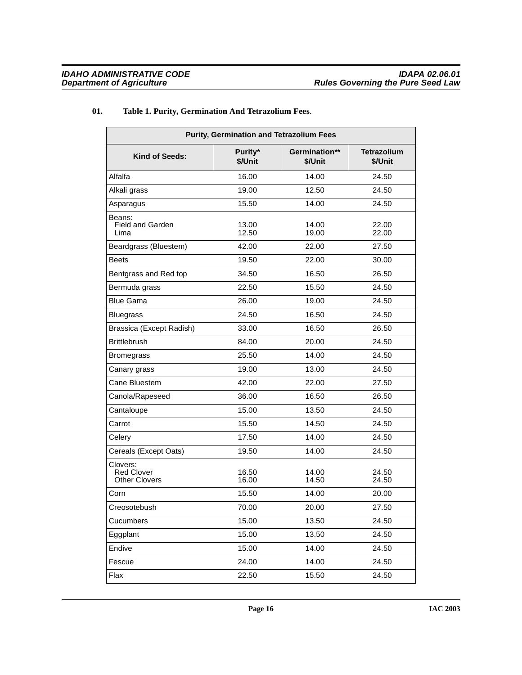# **01. Table 1. Purity, Germination And Tetrazolium Fees**.

<span id="page-15-0"></span>

| <b>Purity, Germination and Tetrazolium Fees</b>       |                    |                          |                               |  |
|-------------------------------------------------------|--------------------|--------------------------|-------------------------------|--|
| <b>Kind of Seeds:</b>                                 | Purity*<br>\$/Unit | Germination**<br>\$/Unit | <b>Tetrazolium</b><br>\$/Unit |  |
| Alfalfa                                               | 16.00              | 14.00                    | 24.50                         |  |
| Alkali grass                                          | 19.00              | 12.50                    | 24.50                         |  |
| Asparagus                                             | 15.50              | 14.00                    | 24.50                         |  |
| Beans:<br><b>Field and Garden</b><br>Lima             | 13.00<br>12.50     | 14.00<br>19.00           | 22.00<br>22.00                |  |
| Beardgrass (Bluestem)                                 | 42.00              | 22.00                    | 27.50                         |  |
| <b>Beets</b>                                          | 19.50              | 22.00                    | 30.00                         |  |
| Bentgrass and Red top                                 | 34.50              | 16.50                    | 26.50                         |  |
| Bermuda grass                                         | 22.50              | 15.50                    | 24.50                         |  |
| <b>Blue Gama</b>                                      | 26.00              | 19.00                    | 24.50                         |  |
| <b>Bluegrass</b>                                      | 24.50              | 16.50                    | 24.50                         |  |
| Brassica (Except Radish)                              | 33.00              | 16.50                    | 26.50                         |  |
| <b>Brittlebrush</b>                                   | 84.00              | 20.00                    | 24.50                         |  |
| <b>Bromegrass</b>                                     | 25.50              | 14.00                    | 24.50                         |  |
| Canary grass                                          | 19.00              | 13.00                    | 24.50                         |  |
| Cane Bluestem                                         | 42.00              | 22.00                    | 27.50                         |  |
| Canola/Rapeseed                                       | 36.00              | 16.50                    | 26.50                         |  |
| Cantaloupe                                            | 15.00              | 13.50                    | 24.50                         |  |
| Carrot                                                | 15.50              | 14.50                    | 24.50                         |  |
| Celery                                                | 17.50              | 14.00                    | 24.50                         |  |
| Cereals (Except Oats)                                 | 19.50              | 14.00                    | 24.50                         |  |
| Clovers:<br><b>Red Clover</b><br><b>Other Clovers</b> | 16.50<br>16.00     | 14.00<br>14.50           | 24.50<br>24.50                |  |
| Corn                                                  | 15.50              | 14.00                    | 20.00                         |  |
| Creosotebush                                          | 70.00              | 20.00                    | 27.50                         |  |
| Cucumbers                                             | 15.00              | 13.50                    | 24.50                         |  |
| Eggplant                                              | 15.00              | 13.50                    | 24.50                         |  |
| Endive                                                | 15.00              | 14.00                    | 24.50                         |  |
| Fescue                                                | 24.00              | 14.00                    | 24.50                         |  |
| Flax                                                  | 22.50              | 15.50                    | 24.50                         |  |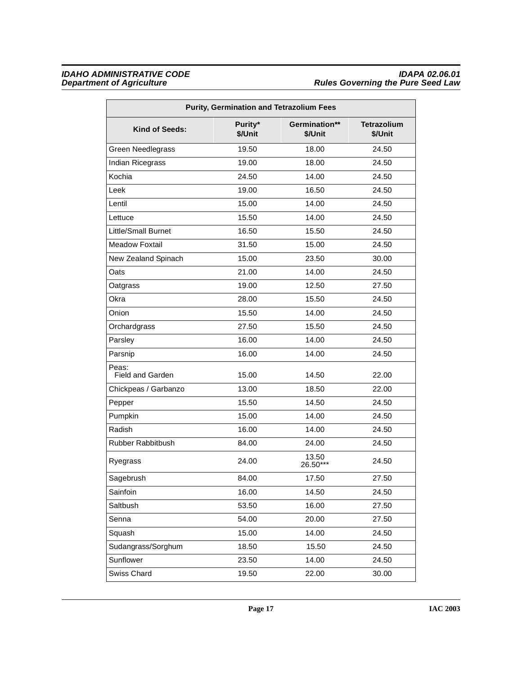| <b>Purity, Germination and Tetrazolium Fees</b> |                    |                          |                               |
|-------------------------------------------------|--------------------|--------------------------|-------------------------------|
| Kind of Seeds:                                  | Purity*<br>\$/Unit | Germination**<br>\$/Unit | <b>Tetrazolium</b><br>\$/Unit |
| Green Needlegrass                               | 19.50              | 18.00                    | 24.50                         |
| Indian Ricegrass                                | 19.00              | 18.00                    | 24.50                         |
| Kochia                                          | 24.50              | 14.00                    | 24.50                         |
| Leek                                            | 19.00              | 16.50                    | 24.50                         |
| Lentil                                          | 15.00              | 14.00                    | 24.50                         |
| Lettuce                                         | 15.50              | 14.00                    | 24.50                         |
| <b>Little/Small Burnet</b>                      | 16.50              | 15.50                    | 24.50                         |
| <b>Meadow Foxtail</b>                           | 31.50              | 15.00                    | 24.50                         |
| New Zealand Spinach                             | 15.00              | 23.50                    | 30.00                         |
| Oats                                            | 21.00              | 14.00                    | 24.50                         |
| Oatgrass                                        | 19.00              | 12.50                    | 27.50                         |
| Okra                                            | 28.00              | 15.50                    | 24.50                         |
| Onion                                           | 15.50              | 14.00                    | 24.50                         |
| Orchardgrass                                    | 27.50              | 15.50                    | 24.50                         |
| Parsley                                         | 16.00              | 14.00                    | 24.50                         |
| Parsnip                                         | 16.00              | 14.00                    | 24.50                         |
| Peas:<br>Field and Garden                       | 15.00              | 14.50                    | 22.00                         |
| Chickpeas / Garbanzo                            | 13.00              | 18.50                    | 22.00                         |
| Pepper                                          | 15.50              | 14.50                    | 24.50                         |
| Pumpkin                                         | 15.00              | 14.00                    | 24.50                         |
| Radish                                          | 16.00              | 14.00                    | 24.50                         |
| Rubber Rabbitbush                               | 84.00              | 24.00                    | 24.50                         |
| Ryegrass                                        | 24.00              | 13.50<br>26.50***        | 24.50                         |
| Sagebrush                                       | 84.00              | 17.50                    | 27.50                         |
| Sainfoin                                        | 16.00              | 14.50                    | 24.50                         |
| Saltbush                                        | 53.50              | 16.00                    | 27.50                         |
| Senna                                           | 54.00              | 20.00                    | 27.50                         |
| Squash                                          | 15.00              | 14.00                    | 24.50                         |
| Sudangrass/Sorghum                              | 18.50              | 15.50                    | 24.50                         |
| Sunflower                                       | 23.50              | 14.00                    | 24.50                         |
| Swiss Chard                                     | 19.50              | 22.00                    | 30.00                         |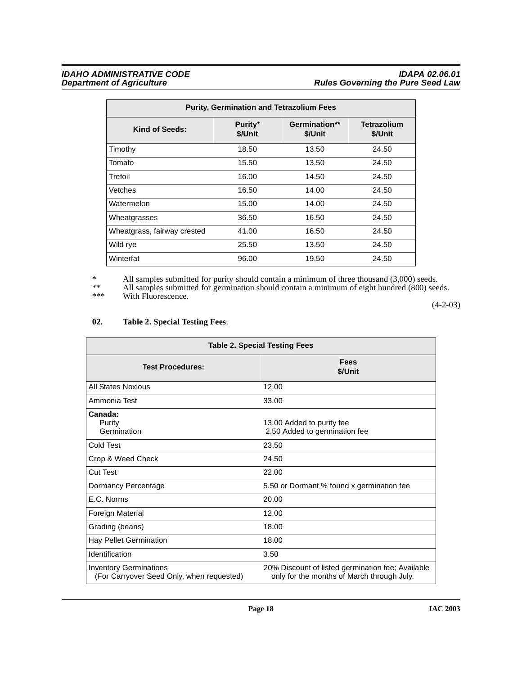| <b>Purity, Germination and Tetrazolium Fees</b> |                    |                          |                               |  |
|-------------------------------------------------|--------------------|--------------------------|-------------------------------|--|
| Kind of Seeds:                                  | Purity*<br>\$/Unit | Germination**<br>\$/Unit | <b>Tetrazolium</b><br>\$/Unit |  |
| Timothy                                         | 18.50              | 13.50                    | 24.50                         |  |
| Tomato                                          | 15.50              | 13.50                    | 24.50                         |  |
| Trefoil                                         | 16.00              | 14.50                    | 24.50                         |  |
| Vetches                                         | 16.50              | 14.00                    | 24.50                         |  |
| Watermelon                                      | 15.00              | 14.00                    | 24.50                         |  |
| Wheatgrasses                                    | 36.50              | 16.50                    | 24.50                         |  |
| Wheatgrass, fairway crested                     | 41.00              | 16.50                    | 24.50                         |  |
| Wild rye                                        | 25.50              | 13.50                    | 24.50                         |  |
| Winterfat                                       | 96.00              | 19.50                    | 24.50                         |  |

\* All samples submitted for purity should contain a minimum of three thousand (3,000) seeds.

\*\* All samples submitted for germination should contain a minimum of eight hundred (800) seeds.

\*\*\* With Fluorescence.

 $(4-2-03)$ 

# <span id="page-17-0"></span>**02. Table 2. Special Testing Fees**.

| <b>Table 2. Special Testing Fees</b>                                       |                                                                                                 |  |
|----------------------------------------------------------------------------|-------------------------------------------------------------------------------------------------|--|
| <b>Test Procedures:</b>                                                    | Fees<br>\$/Unit                                                                                 |  |
| <b>All States Noxious</b>                                                  | 12.00                                                                                           |  |
| Ammonia Test                                                               | 33.00                                                                                           |  |
| Canada:<br>Purity<br>Germination                                           | 13.00 Added to purity fee<br>2.50 Added to germination fee                                      |  |
| Cold Test                                                                  | 23.50                                                                                           |  |
| Crop & Weed Check                                                          | 24.50                                                                                           |  |
| Cut Test                                                                   | 22.00                                                                                           |  |
| Dormancy Percentage                                                        | 5.50 or Dormant % found x germination fee                                                       |  |
| F.C. Norms                                                                 | 20.00                                                                                           |  |
| Foreign Material                                                           | 12.00                                                                                           |  |
| Grading (beans)                                                            | 18.00                                                                                           |  |
| Hay Pellet Germination                                                     | 18.00                                                                                           |  |
| Identification                                                             | 3.50                                                                                            |  |
| <b>Inventory Germinations</b><br>(For Carryover Seed Only, when requested) | 20% Discount of listed germination fee; Available<br>only for the months of March through July. |  |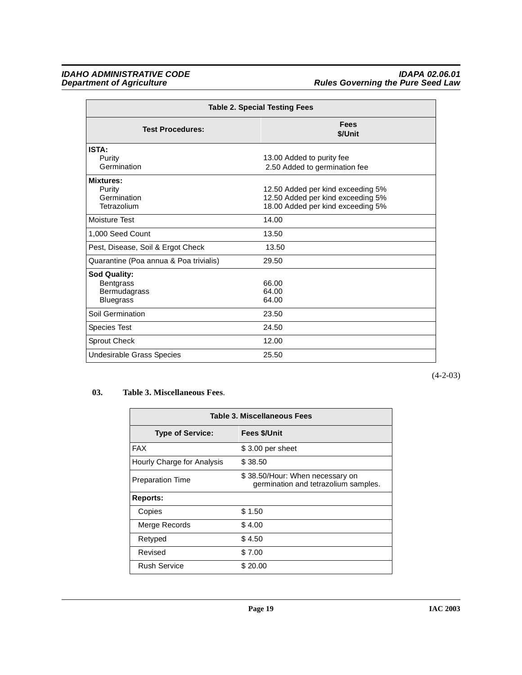| <b>Table 2. Special Testing Fees</b>                                        |                                                                                                             |  |
|-----------------------------------------------------------------------------|-------------------------------------------------------------------------------------------------------------|--|
| <b>Test Procedures:</b>                                                     | Fees<br>\$/Unit                                                                                             |  |
| ISTA:<br>Purity<br>Germination                                              | 13.00 Added to purity fee<br>2.50 Added to germination fee                                                  |  |
| Mixtures:<br>Purity<br>Germination<br>Tetrazolium                           | 12.50 Added per kind exceeding 5%<br>12.50 Added per kind exceeding 5%<br>18.00 Added per kind exceeding 5% |  |
| Moisture Test                                                               | 14.00                                                                                                       |  |
| 1.000 Seed Count                                                            | 13.50                                                                                                       |  |
| Pest, Disease, Soil & Ergot Check                                           | 13.50                                                                                                       |  |
| Quarantine (Poa annua & Poa trivialis)                                      | 29.50                                                                                                       |  |
| <b>Sod Quality:</b><br><b>Bentgrass</b><br>Bermudagrass<br><b>Bluegrass</b> | 66.00<br>64.00<br>64.00                                                                                     |  |
| Soil Germination                                                            | 23.50                                                                                                       |  |
| <b>Species Test</b>                                                         | 24.50                                                                                                       |  |
| Sprout Check                                                                | 12.00                                                                                                       |  |
| Undesirable Grass Species                                                   | 25.50                                                                                                       |  |

(4-2-03)

# **03. Table 3. Miscellaneous Fees**.

<span id="page-18-0"></span>

| Table 3. Miscellaneous Fees |                                                                         |
|-----------------------------|-------------------------------------------------------------------------|
| <b>Type of Service:</b>     | <b>Fees \$/Unit</b>                                                     |
| <b>FAX</b>                  | \$3.00 per sheet                                                        |
| Hourly Charge for Analysis  | \$38.50                                                                 |
| <b>Preparation Time</b>     | \$38.50/Hour: When necessary on<br>germination and tetrazolium samples. |
| Reports:                    |                                                                         |
| Copies                      | \$1.50                                                                  |
| Merge Records               | \$4.00                                                                  |
| Retyped                     | \$4.50                                                                  |
| Revised                     | \$7.00                                                                  |
| <b>Rush Service</b>         | \$20.00                                                                 |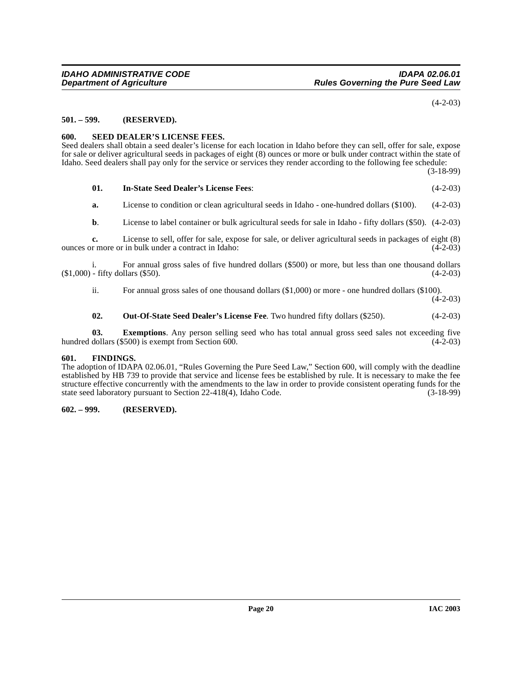(4-2-03)

## <span id="page-19-0"></span>**501. – 599. (RESERVED).**

# <span id="page-19-5"></span><span id="page-19-1"></span>**600. SEED DEALER'S LICENSE FEES.**

Seed dealers shall obtain a seed dealer's license for each location in Idaho before they can sell, offer for sale, expose for sale or deliver agricultural seeds in packages of eight (8) ounces or more or bulk under contract within the state of Idaho. Seed dealers shall pay only for the service or services they render according to the following fee schedule:

(3-18-99)

# <span id="page-19-4"></span>**01. In-State Seed Dealer's License Fees**: (4-2-03)

**a.** License to condition or clean agricultural seeds in Idaho - one-hundred dollars (\$100). (4-2-03)

**b.** License to label container or bulk agricultural seeds for sale in Idaho - fifty dollars (\$50). (4-2-03)

**c.** License to sell, offer for sale, expose for sale, or deliver agricultural seeds in packages of eight (8) r more or in bulk under a contract in Idaho: (4-2-03) ounces or more or in bulk under a contract in Idaho:

i. For annual gross sales of five hundred dollars (\$500) or more, but less than one thousand dollars (\$1,000) - fifty dollars (\$50). (4-2-03)

ii. For annual gross sales of one thousand dollars (\$1,000) or more - one hundred dollars (\$100).

 $(4-2-03)$ 

## **02.** Out-Of-State Seed Dealer's License Fee. Two hundred fifty dollars (\$250).  $(4-2-03)$

**03.** Exemptions. Any person selling seed who has total annual gross seed sales not exceeding five dollars (\$500) is exempt from Section 600. hundred dollars  $(\$500)$  is exempt from Section 600.

### <span id="page-19-2"></span>**601. FINDINGS.**

The adoption of IDAPA 02.06.01, "Rules Governing the Pure Seed Law," Section 600, will comply with the deadline established by HB 739 to provide that service and license fees be established by rule. It is necessary to make the fee structure effective concurrently with the amendments to the law in order to provide consistent operating funds for the state seed laboratory pursuant to Section 22-418(4), Idaho Code. (3-18-99)

### <span id="page-19-3"></span>**602. – 999. (RESERVED).**